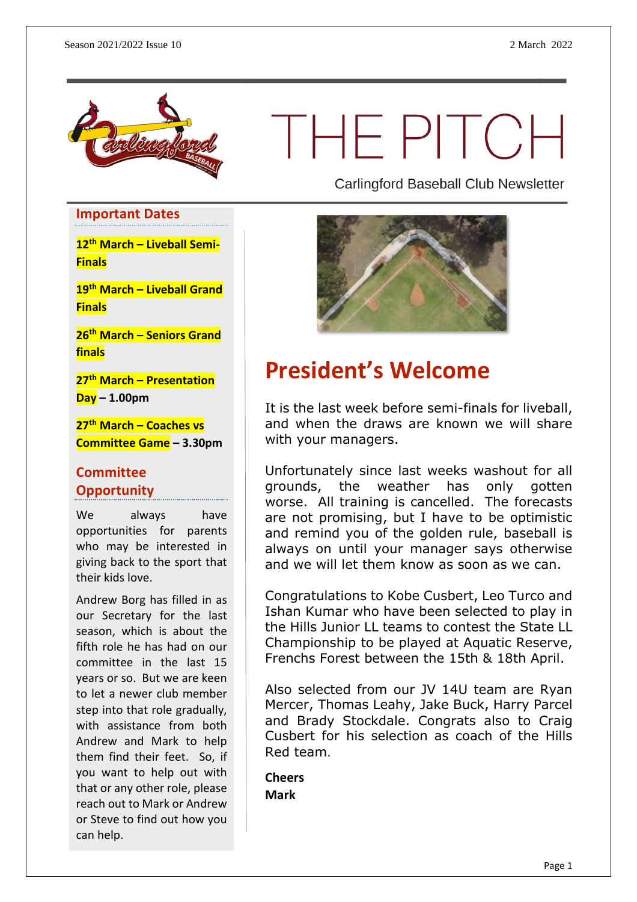

# THEPITCH

**Carlingford Baseball Club Newsletter** 

## **Important Dates**

**12th March – Liveball Semi-Finals**

**19th March – Liveball Grand Finals**

**26th March – Seniors Grand finals**

**27th March – Presentation Day – 1.00pm**

**27th March – Coaches vs Committee Game – 3.30pm**

#### **Committee Opportunity**

We always have opportunities for parents who may be interested in giving back to the sport that their kids love.

Andrew Borg has filled in as our Secretary for the last season, which is about the fifth role he has had on our committee in the last 15 years or so. But we are keen to let a newer club member step into that role gradually, with assistance from both Andrew and Mark to help them find their feet. So, if you want to help out with that or any other role, please reach out to Mark or Andrew or Steve to find out how you can help.



#### **President's Welcome**

It is the last week before semi-finals for liveball, and when the draws are known we will share with your managers.

Unfortunately since last weeks washout for all grounds, the weather has only gotten worse. All training is cancelled. The forecasts are not promising, but I have to be optimistic and remind you of the golden rule, baseball is always on until your manager says otherwise and we will let them know as soon as we can.

Congratulations to Kobe Cusbert, Leo Turco and Ishan Kumar who have been selected to play in the Hills Junior LL teams to contest the State LL Championship to be played at Aquatic Reserve, Frenchs Forest between the 15th & 18th April.

Also selected from our JV 14U team are Ryan Mercer, Thomas Leahy, Jake Buck, Harry Parcel and Brady Stockdale. Congrats also to Craig Cusbert for his selection as coach of the Hills Red team.

**Cheers Mark**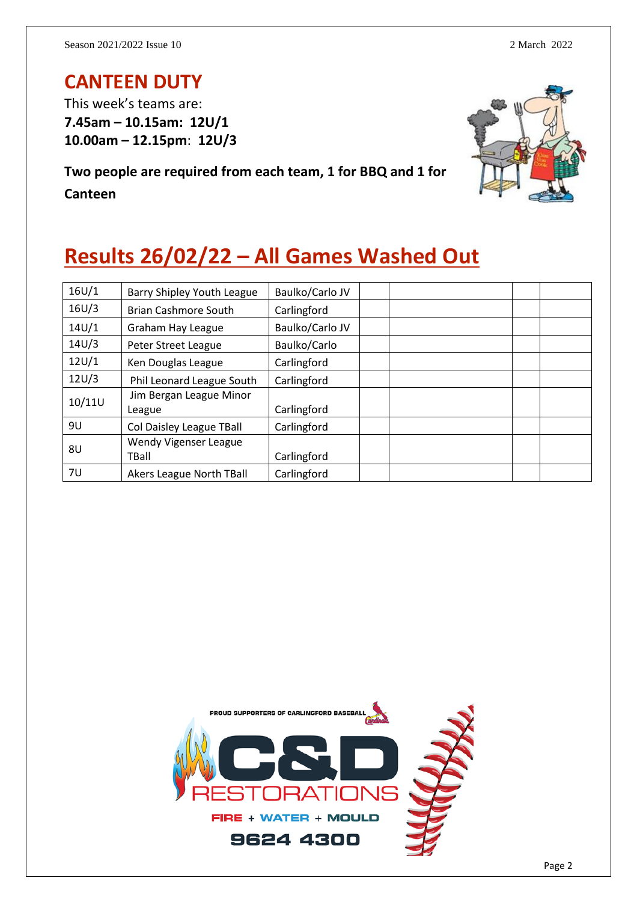#### **CANTEEN DUTY**

This week's teams are: **7.45am – 10.15am: 12U/1 10.00am – 12.15pm**: **12U/3**

**Two people are required from each team, 1 for BBQ and 1 for Canteen**



# **Results 26/02/22 – All Games Washed Out**

| 16U/1  | Barry Shipley Youth League        | Baulko/Carlo JV |
|--------|-----------------------------------|-----------------|
| 16U/3  | <b>Brian Cashmore South</b>       | Carlingford     |
| 14U/1  | Graham Hay League                 | Baulko/Carlo JV |
| 14U/3  | Peter Street League               | Baulko/Carlo    |
| 12U/1  | Ken Douglas League                | Carlingford     |
| 12U/3  | Phil Leonard League South         | Carlingford     |
| 10/11U | Jim Bergan League Minor<br>League | Carlingford     |
| 9U     | Col Daisley League TBall          | Carlingford     |
| 8U     | Wendy Vigenser League<br>TBall    | Carlingford     |
| 7U     | Akers League North TBall          | Carlingford     |

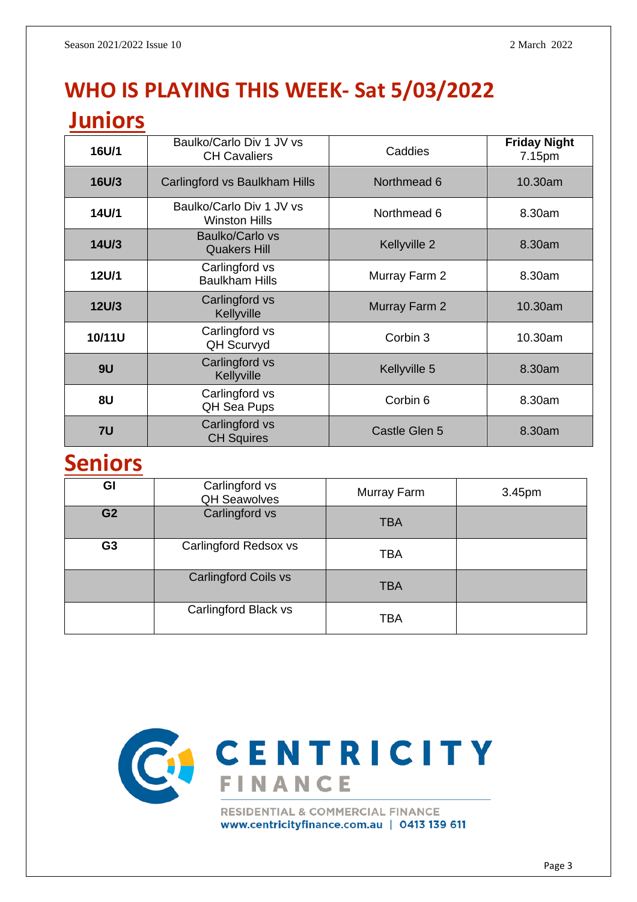# **WHO IS PLAYING THIS WEEK- Sat 5/03/2022**

#### **Juniors**

| 16U/1        | Baulko/Carlo Div 1 JV vs<br><b>CH Cavaliers</b>  | Caddies       | <b>Friday Night</b><br>7.15pm |
|--------------|--------------------------------------------------|---------------|-------------------------------|
| <b>16U/3</b> | Carlingford vs Baulkham Hills                    | Northmead 6   | 10.30am                       |
| 14U/1        | Baulko/Carlo Div 1 JV vs<br><b>Winston Hills</b> | Northmead 6   | 8.30am                        |
| 14U/3        | Baulko/Carlo vs<br><b>Quakers Hill</b>           | Kellyville 2  | 8.30am                        |
| 12U/1        | Carlingford vs<br><b>Baulkham Hills</b>          | Murray Farm 2 | 8.30am                        |
| <b>12U/3</b> | Carlingford vs<br>Kellyville                     | Murray Farm 2 | 10.30am                       |
| 10/11U       | Carlingford vs<br><b>QH Scurvyd</b>              | Corbin 3      | 10.30am                       |
| 9U           | Carlingford vs<br>Kellyville                     | Kellyville 5  | 8.30am                        |
| 8U           | Carlingford vs<br>QH Sea Pups                    | Corbin 6      | 8.30am                        |
| 7U           | Carlingford vs<br><b>CH Squires</b>              | Castle Glen 5 | 8.30am                        |

#### **Seniors**

| GI             | Carlingford vs<br><b>QH Seawolves</b> | Murray Farm | 3.45pm |
|----------------|---------------------------------------|-------------|--------|
| G <sub>2</sub> | Carlingford vs                        | <b>TBA</b>  |        |
| G <sub>3</sub> | Carlingford Redsox vs                 | <b>TBA</b>  |        |
|                | <b>Carlingford Coils vs</b>           | <b>TBA</b>  |        |
|                | Carlingford Black vs                  | <b>TBA</b>  |        |



www.centricityfinance.com.au | 0413 139 611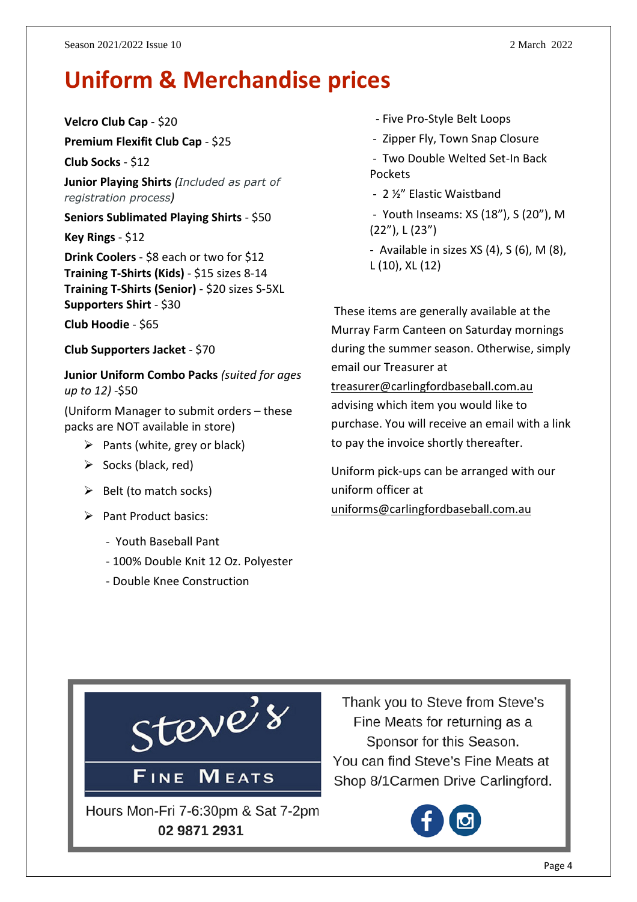#### **Uniform & Merchandise prices**

**Velcro Club Cap** - \$20

**Premium Flexifit Club Cap** - \$25

**Club Socks** - \$12

**Junior Playing Shirts** *(Included as part of registration process)*

**Seniors Sublimated Playing Shirts** - \$50

**Key Rings** - \$12

**Drink Coolers** - \$8 each or two for \$12 **Training T-Shirts (Kids)** - \$15 sizes 8-14 **Training T-Shirts (Senior)** - \$20 sizes S-5XL **Supporters Shirt** - \$30

**Club Hoodie** - \$65

**Club Supporters Jacket** - \$70

**Junior Uniform Combo Packs** *(suited for ages up to 12)* -\$50

(Uniform Manager to submit orders – these packs are NOT available in store)

- $\triangleright$  Pants (white, grey or black)
- $\triangleright$  Socks (black, red)
- $\triangleright$  Belt (to match socks)
- ➢ Pant Product basics:
	- Youth Baseball Pant
	- 100% Double Knit 12 Oz. Polyester
	- Double Knee Construction
- Five Pro-Style Belt Loops
- Zipper Fly, Town Snap Closure
- Two Double Welted Set-In Back Pockets
- 2 ½" Elastic Waistband
- Youth Inseams: XS (18"), S (20"), M (22"), L (23")
- Available in sizes  $XS(4)$ ,  $S(6)$ ,  $M(8)$ , L (10), XL (12)

These items are generally available at the Murray Farm Canteen on Saturday mornings during the summer season. Otherwise, simply email our Treasurer at [treasurer@carlingfordbaseball.com.au](mailto:treasurer@carlingfordbaseball.com.au) advising which item you would like to purchase. You will receive an email with a link

Uniform pick-ups can be arranged with our uniform officer at [uniforms@carlingfordbaseball.com.au](mailto:uniforms@carlingfordbaseball.com.au)

to pay the invoice shortly thereafter.



Thank you to Steve from Steve's Fine Meats for returning as a Sponsor for this Season. You can find Steve's Fine Meats at Shop 8/1 Carmen Drive Carlingford.